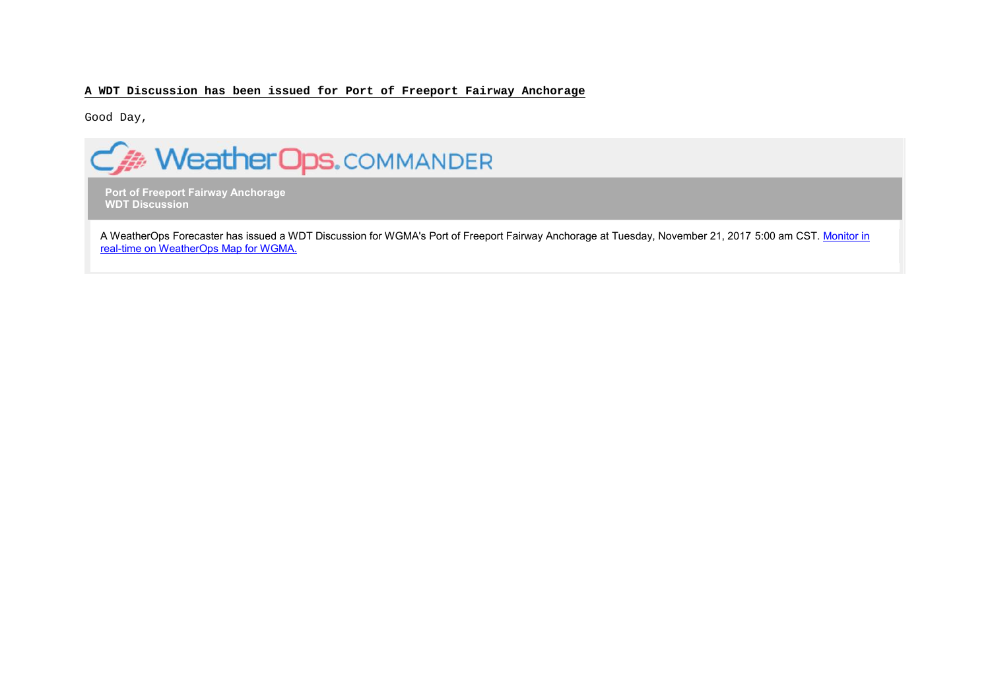# **A WDT Discussion has been issued for Port of Freeport Fairway Anchorage**

Good Day,



**Port of Freeport Fairway Anchorage WDT Discussion**

A WeatherOps Forecaster has issued a WDT Discussion for WGMA's Port of Freeport Fairway Anchorage at Tuesday, November 21, 2017 5:00 am CST. <u>Monitor in</u> real-time on WeatherOps Map for WGMA.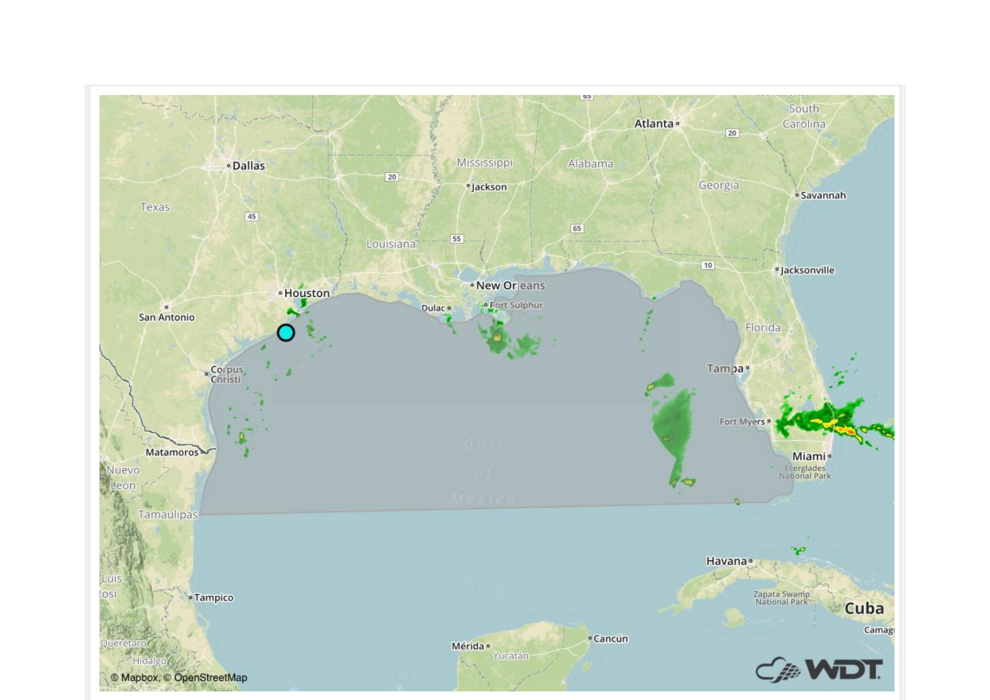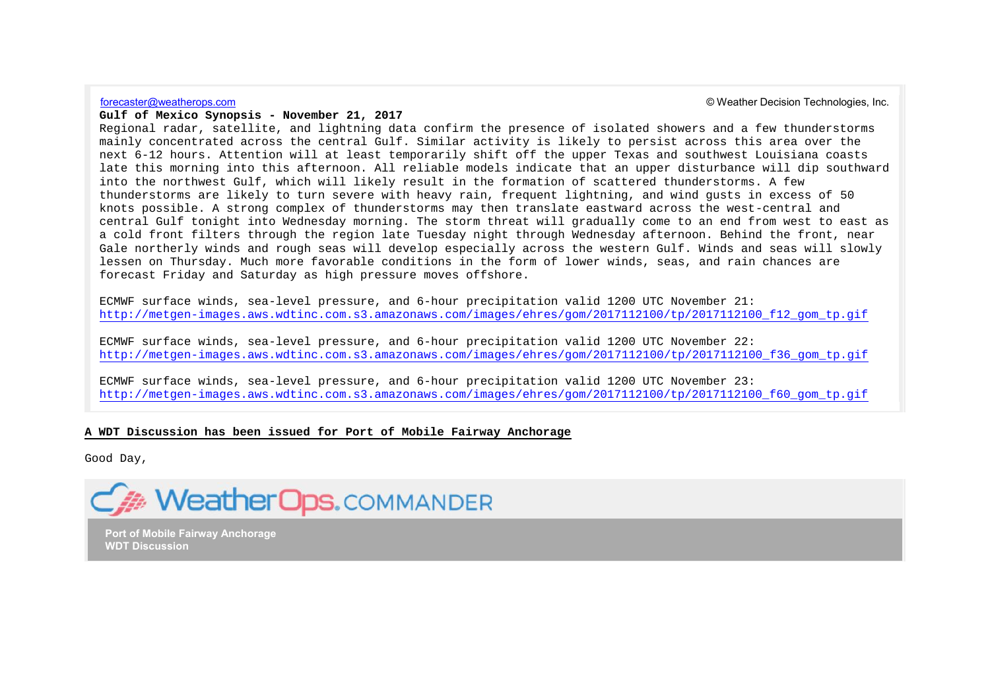### **Gulf of Mexico Synopsis - November 21, 2017**

Regional radar, satellite, and lightning data confirm the presence of isolated showers and a few thunderstorms mainly concentrated across the central Gulf. Similar activity is likely to persist across this area over the next 6-12 hours. Attention will at least temporarily shift off the upper Texas and southwest Louisiana coasts late this morning into this afternoon. All reliable models indicate that an upper disturbance will dip southward into the northwest Gulf, which will likely result in the formation of scattered thunderstorms. A few thunderstorms are likely to turn severe with heavy rain, frequent lightning, and wind gusts in excess of 50 knots possible. A strong complex of thunderstorms may then translate eastward across the west-central and central Gulf tonight into Wednesday morning. The storm threat will gradually come to an end from west to east as a cold front filters through the region late Tuesday night through Wednesday afternoon. Behind the front, near Gale northerly winds and rough seas will develop especially across the western Gulf. Winds and seas will slowly lessen on Thursday. Much more favorable conditions in the form of lower winds, seas, and rain chances are forecast Friday and Saturday as high pressure moves offshore.

ECMWF surface winds, sea-level pressure, and 6-hour precipitation valid 1200 UTC November 21: http://metgen-images.aws.wdtinc.com.s3.amazonaws.com/images/ehres/gom/2017112100/tp/2017112100\_f12\_gom\_tp.gif

ECMWF surface winds, sea-level pressure, and 6-hour precipitation valid 1200 UTC November 22: http://metgen-images.aws.wdtinc.com.s3.amazonaws.com/images/ehres/gom/2017112100/tp/2017112100\_f36\_gom\_tp.gif

ECMWF surface winds, sea-level pressure, and 6-hour precipitation valid 1200 UTC November 23: http://metgen-images.aws.wdtinc.com.s3.amazonaws.com/images/ehres/gom/2017112100/tp/2017112100\_f60\_gom\_tp.gif

### **A WDT Discussion has been issued for Port of Mobile Fairway Anchorage**

Good Day,



**Port of Mobile Fairway Anchorage WDT Discussion**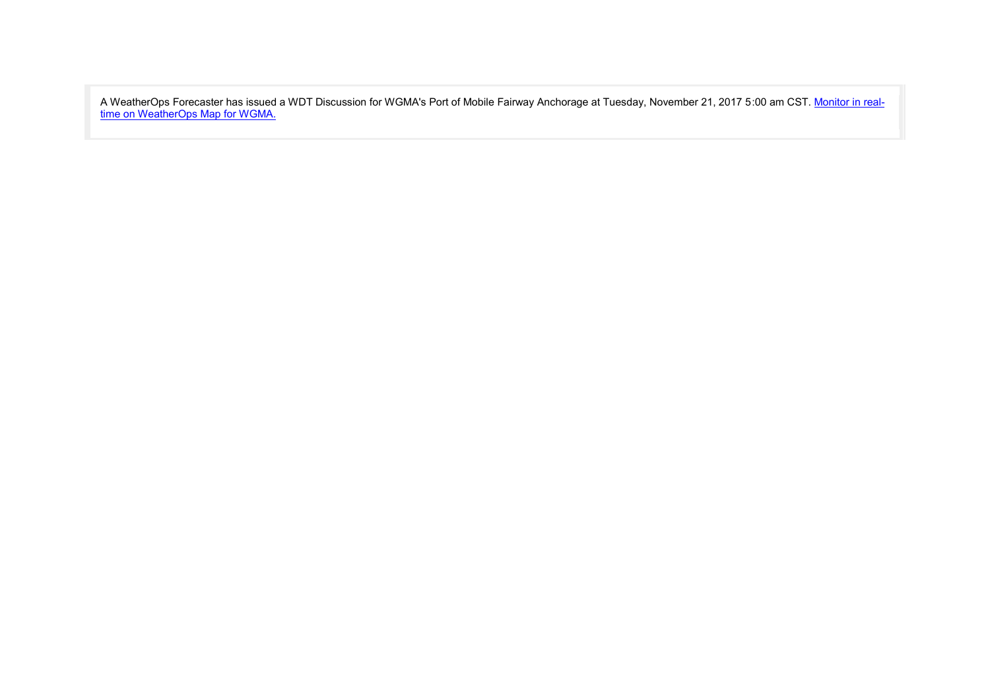A WeatherOps Forecaster has issued a WDT Discussion for WGMA's Port of Mobile Fairway Anchorage at Tuesday, November 21, 2017 5:00 am CST. <u>Monitor in real-</u> time on WeatherOps Map for WGMA.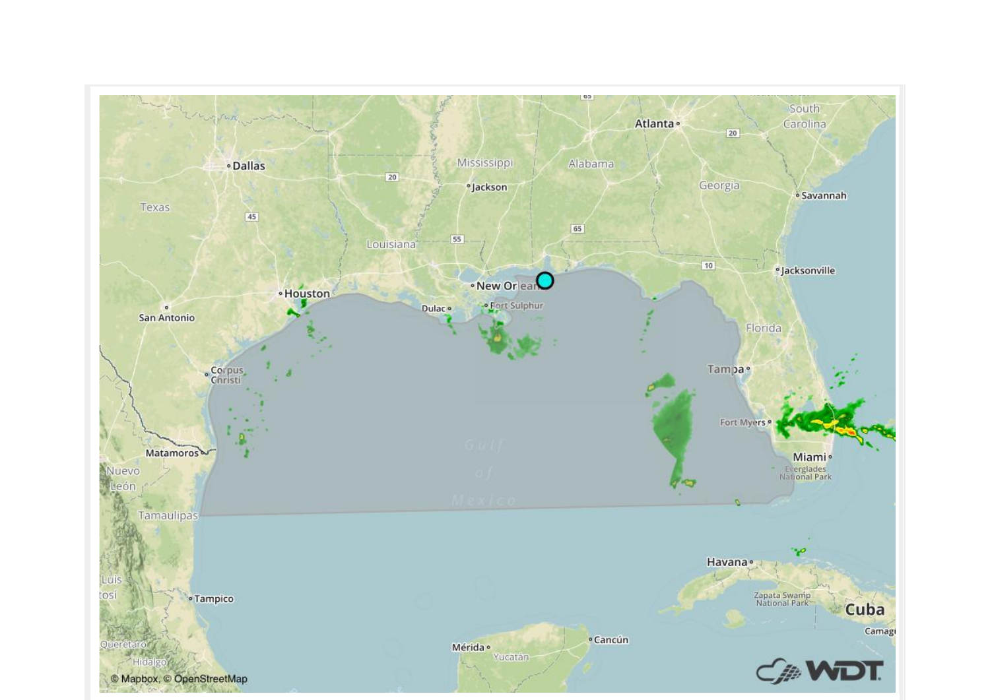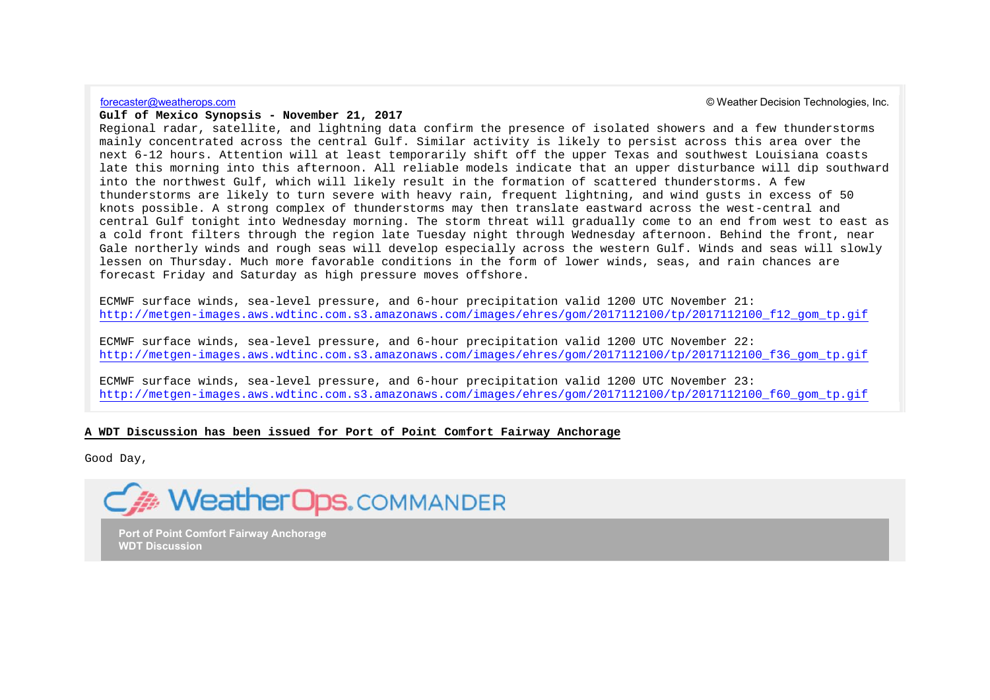### **Gulf of Mexico Synopsis - November 21, 2017**

Regional radar, satellite, and lightning data confirm the presence of isolated showers and a few thunderstorms mainly concentrated across the central Gulf. Similar activity is likely to persist across this area over the next 6-12 hours. Attention will at least temporarily shift off the upper Texas and southwest Louisiana coasts late this morning into this afternoon. All reliable models indicate that an upper disturbance will dip southward into the northwest Gulf, which will likely result in the formation of scattered thunderstorms. A few thunderstorms are likely to turn severe with heavy rain, frequent lightning, and wind gusts in excess of 50 knots possible. A strong complex of thunderstorms may then translate eastward across the west-central and central Gulf tonight into Wednesday morning. The storm threat will gradually come to an end from west to east as a cold front filters through the region late Tuesday night through Wednesday afternoon. Behind the front, near Gale northerly winds and rough seas will develop especially across the western Gulf. Winds and seas will slowly lessen on Thursday. Much more favorable conditions in the form of lower winds, seas, and rain chances are forecast Friday and Saturday as high pressure moves offshore.

ECMWF surface winds, sea-level pressure, and 6-hour precipitation valid 1200 UTC November 21: http://metgen-images.aws.wdtinc.com.s3.amazonaws.com/images/ehres/gom/2017112100/tp/2017112100\_f12\_gom\_tp.gif

ECMWF surface winds, sea-level pressure, and 6-hour precipitation valid 1200 UTC November 22: http://metgen-images.aws.wdtinc.com.s3.amazonaws.com/images/ehres/gom/2017112100/tp/2017112100\_f36\_gom\_tp.gif

ECMWF surface winds, sea-level pressure, and 6-hour precipitation valid 1200 UTC November 23: http://metgen-images.aws.wdtinc.com.s3.amazonaws.com/images/ehres/gom/2017112100/tp/2017112100\_f60\_gom\_tp.gif

### **A WDT Discussion has been issued for Port of Point Comfort Fairway Anchorage**

Good Day,



**Port of Point Comfort Fairway Anchorage WDT Discussion**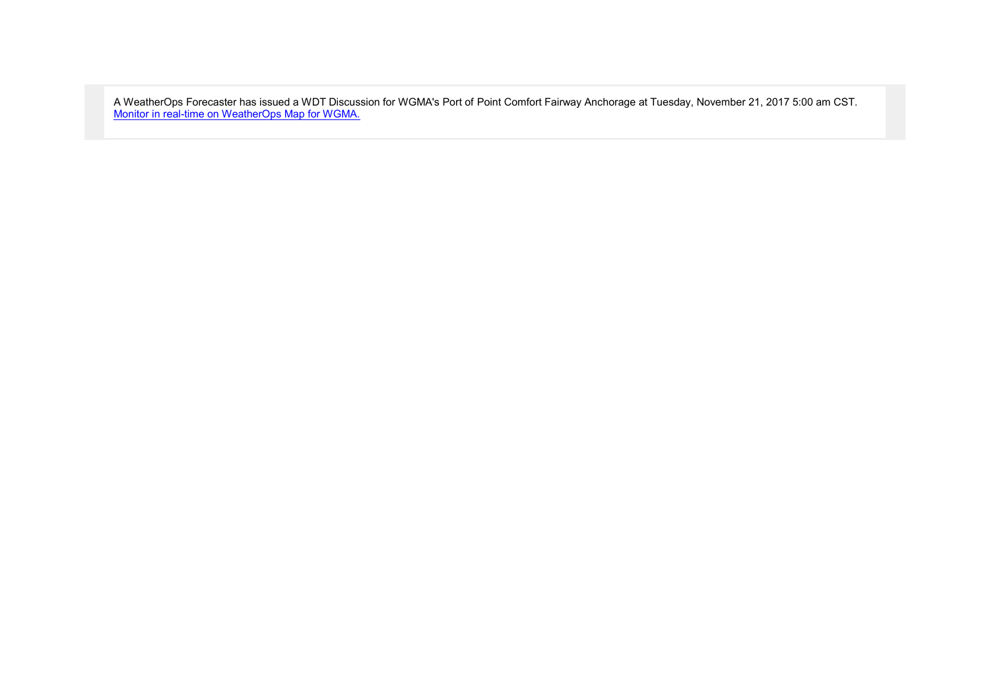A WeatherOps Forecaster has issued a WDT Discussion for WGMA's Port of Point Comfort Fairway Anchorage at Tuesday, November 21, 2017 5:00 am CST. Monitor in real-time on WeatherOps Map for WGMA.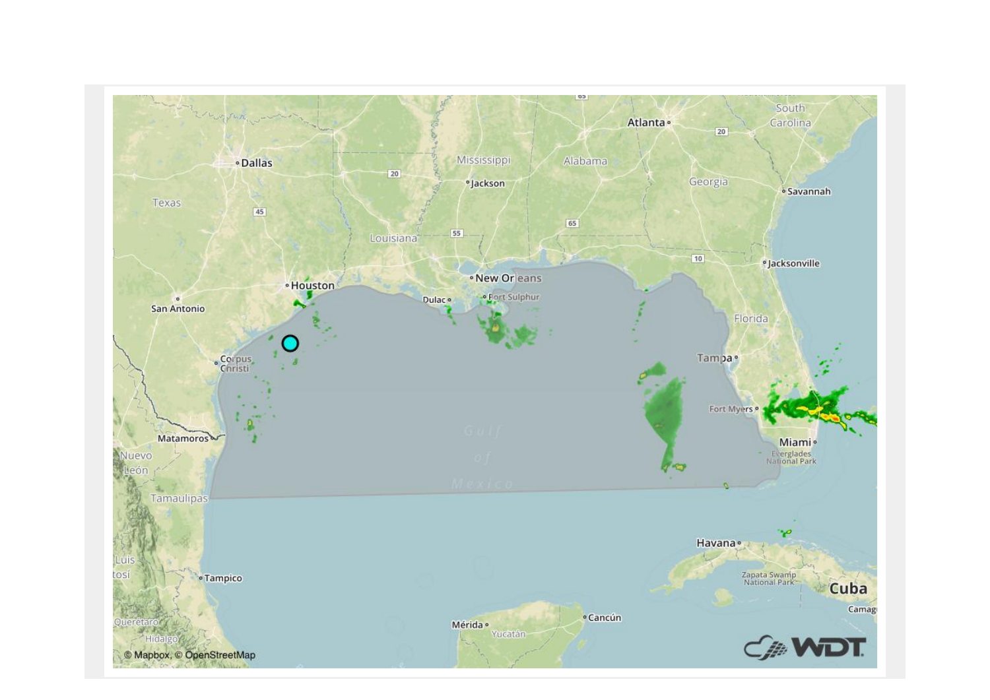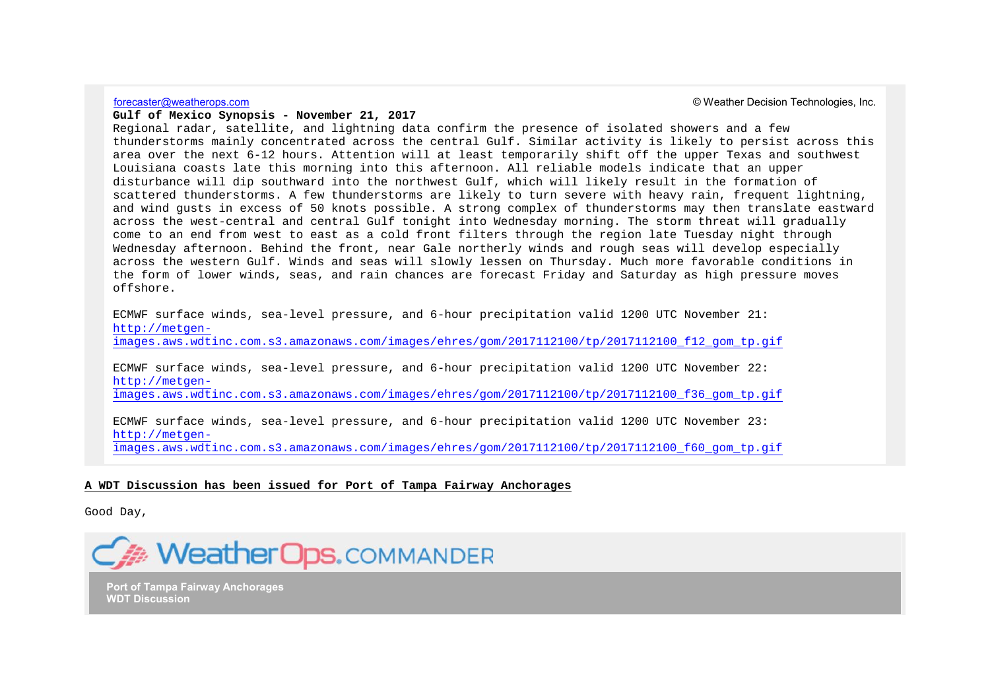### **Gulf of Mexico Synopsis - November 21, 2017**

Regional radar, satellite, and lightning data confirm the presence of isolated showers and a few thunderstorms mainly concentrated across the central Gulf. Similar activity is likely to persist across this area over the next 6-12 hours. Attention will at least temporarily shift off the upper Texas and southwest Louisiana coasts late this morning into this afternoon. All reliable models indicate that an upper disturbance will dip southward into the northwest Gulf, which will likely result in the formation of scattered thunderstorms. A few thunderstorms are likely to turn severe with heavy rain, frequent lightning, and wind gusts in excess of 50 knots possible. A strong complex of thunderstorms may then translate eastward across the west-central and central Gulf tonight into Wednesday morning. The storm threat will gradually come to an end from west to east as a cold front filters through the region late Tuesday night through Wednesday afternoon. Behind the front, near Gale northerly winds and rough seas will develop especially across the western Gulf. Winds and seas will slowly lessen on Thursday. Much more favorable conditions in the form of lower winds, seas, and rain chances are forecast Friday and Saturday as high pressure moves offshore.

ECMWF surface winds, sea-level pressure, and 6-hour precipitation valid 1200 UTC November 21: http://metgen-

images.aws.wdtinc.com.s3.amazonaws.com/images/ehres/gom/2017112100/tp/2017112100\_f12\_gom\_tp.gif

ECMWF surface winds, sea-level pressure, and 6-hour precipitation valid 1200 UTC November 22: http://metgen-

images.aws.wdtinc.com.s3.amazonaws.com/images/ehres/gom/2017112100/tp/2017112100\_f36\_gom\_tp.gif

ECMWF surface winds, sea-level pressure, and 6-hour precipitation valid 1200 UTC November 23: http://metgen-

images.aws.wdtinc.com.s3.amazonaws.com/images/ehres/gom/2017112100/tp/2017112100\_f60\_gom\_tp.gif

# **A WDT Discussion has been issued for Port of Tampa Fairway Anchorages**

Good Day,



**Port of Tampa Fairway Anchorages WDT Discussion**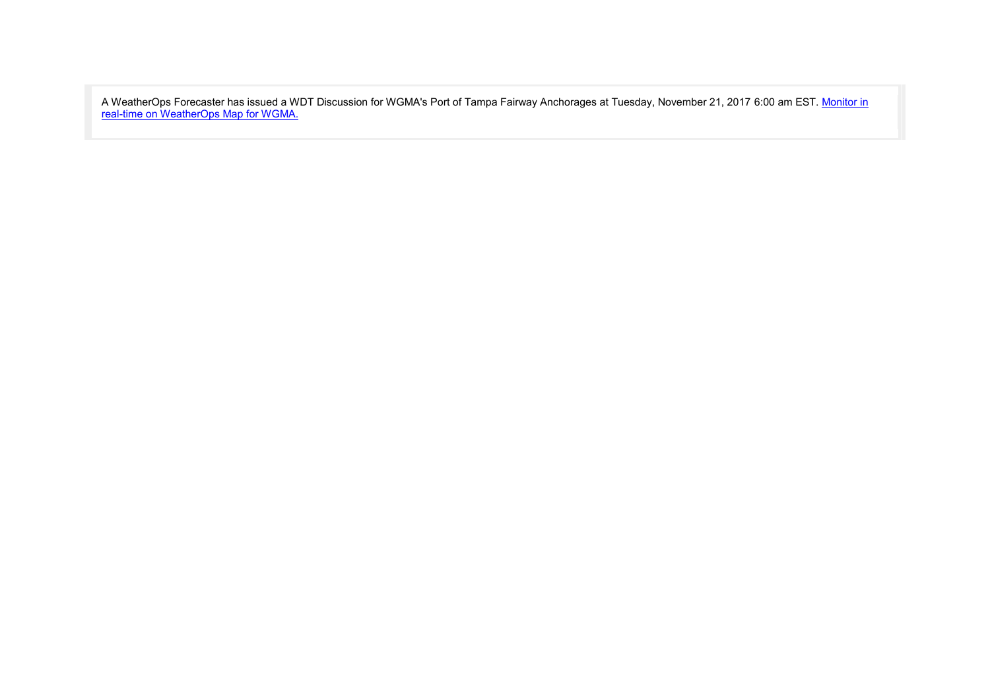A WeatherOps Forecaster has issued a WDT Discussion for WGMA's Port of Tampa Fairway Anchorages at Tuesday, November 21, 2017 6:00 am EST. <u>Monitor in</u> real-time on WeatherOps Map for WGMA.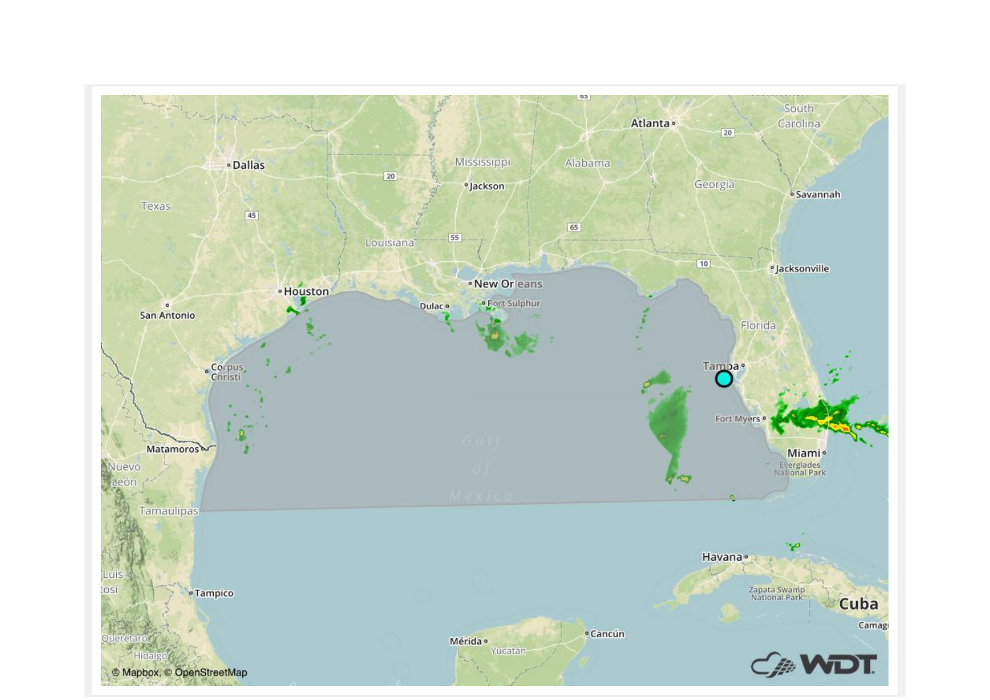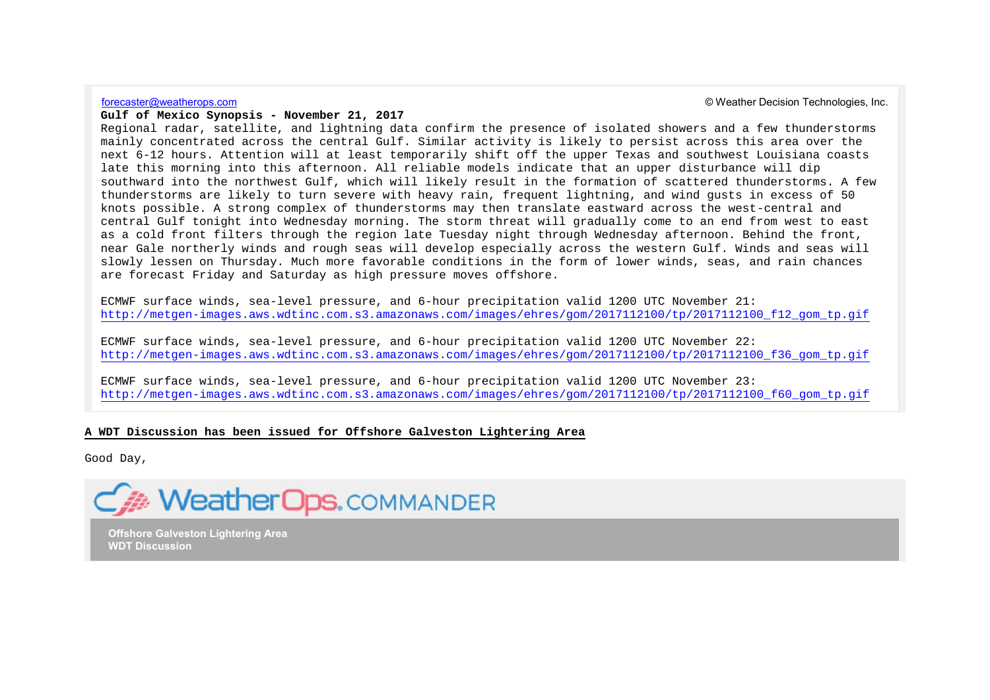### **Gulf of Mexico Synopsis - November 21, 2017**

Regional radar, satellite, and lightning data confirm the presence of isolated showers and a few thunderstorms mainly concentrated across the central Gulf. Similar activity is likely to persist across this area over the next 6-12 hours. Attention will at least temporarily shift off the upper Texas and southwest Louisiana coasts late this morning into this afternoon. All reliable models indicate that an upper disturbance will dip southward into the northwest Gulf, which will likely result in the formation of scattered thunderstorms. A few thunderstorms are likely to turn severe with heavy rain, frequent lightning, and wind gusts in excess of 50 knots possible. A strong complex of thunderstorms may then translate eastward across the west-central and central Gulf tonight into Wednesday morning. The storm threat will gradually come to an end from west to east as a cold front filters through the region late Tuesday night through Wednesday afternoon. Behind the front, near Gale northerly winds and rough seas will develop especially across the western Gulf. Winds and seas will slowly lessen on Thursday. Much more favorable conditions in the form of lower winds, seas, and rain chances are forecast Friday and Saturday as high pressure moves offshore.

ECMWF surface winds, sea-level pressure, and 6-hour precipitation valid 1200 UTC November 21: http://metgen-images.aws.wdtinc.com.s3.amazonaws.com/images/ehres/gom/2017112100/tp/2017112100\_f12\_gom\_tp.gif

ECMWF surface winds, sea-level pressure, and 6-hour precipitation valid 1200 UTC November 22: http://metgen-images.aws.wdtinc.com.s3.amazonaws.com/images/ehres/gom/2017112100/tp/2017112100\_f36\_gom\_tp.gif

ECMWF surface winds, sea-level pressure, and 6-hour precipitation valid 1200 UTC November 23: http://metgen-images.aws.wdtinc.com.s3.amazonaws.com/images/ehres/gom/2017112100/tp/2017112100\_f60\_gom\_tp.gif

### **A WDT Discussion has been issued for Offshore Galveston Lightering Area**

Good Day,



**Offshore Galveston Lightering Area WDT Discussion**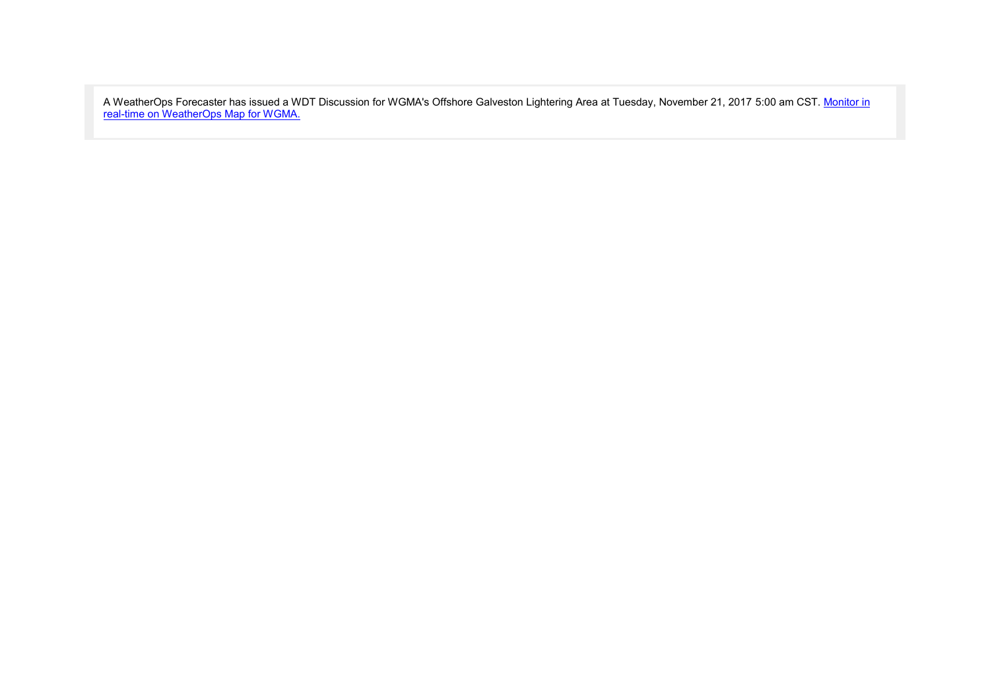A WeatherOps Forecaster has issued a WDT Discussion for WGMA's Offshore Galveston Lightering Area at Tuesday, November 21, 2017 5:00 am CST. <u>Monitor in</u> the angle of the WGMA of the WGMA is the WGMA in the WGMA is the WGM real-time on WeatherOps Map for WGMA.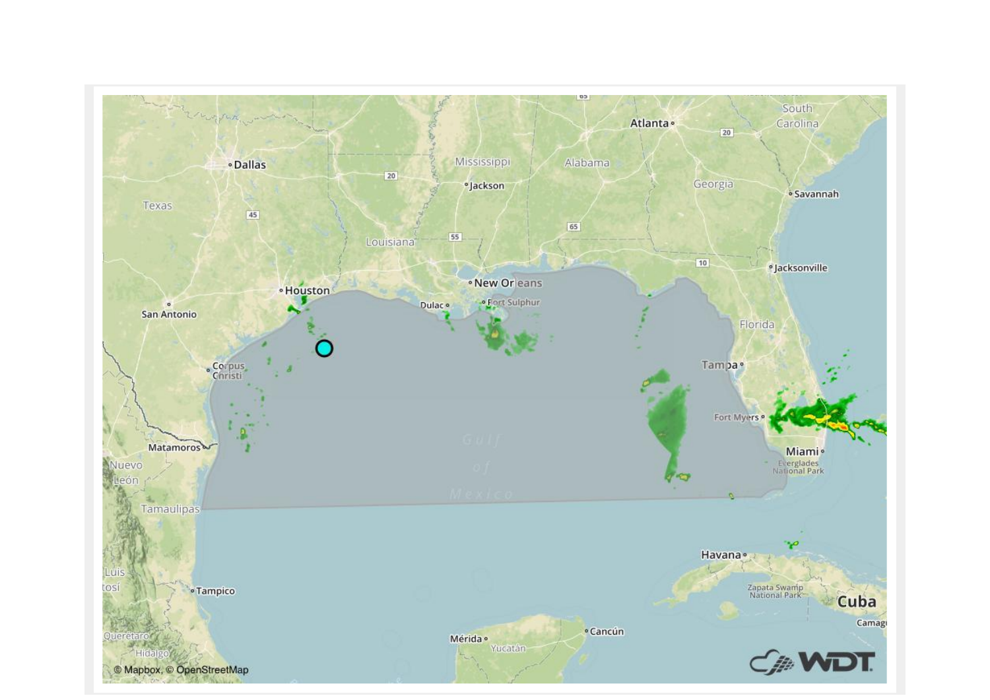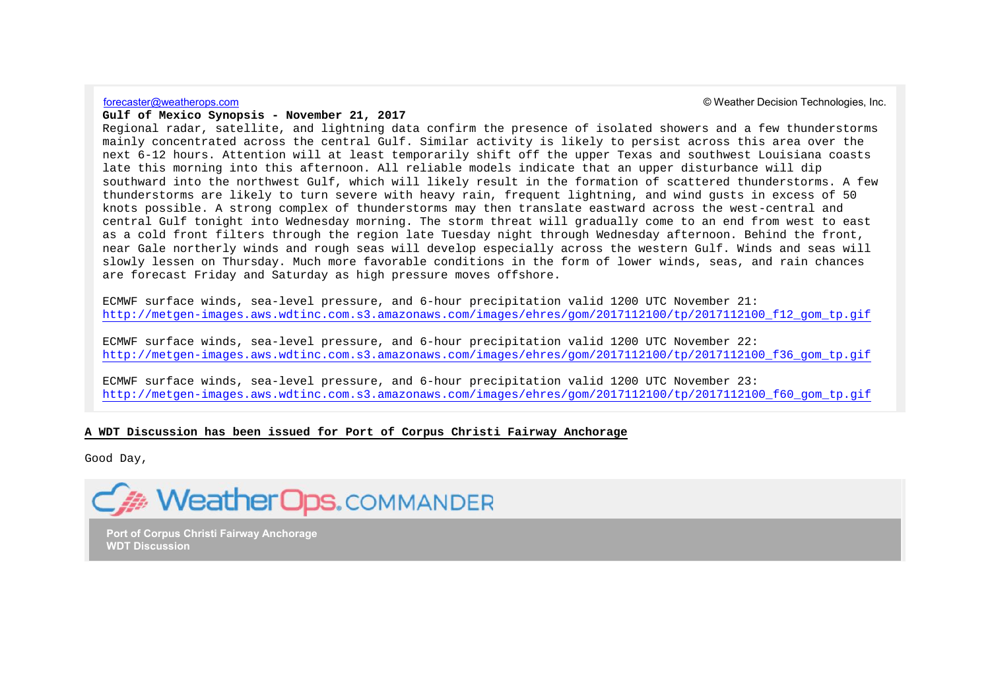### **Gulf of Mexico Synopsis - November 21, 2017**

Regional radar, satellite, and lightning data confirm the presence of isolated showers and a few thunderstorms mainly concentrated across the central Gulf. Similar activity is likely to persist across this area over the next 6-12 hours. Attention will at least temporarily shift off the upper Texas and southwest Louisiana coasts late this morning into this afternoon. All reliable models indicate that an upper disturbance will dip southward into the northwest Gulf, which will likely result in the formation of scattered thunderstorms. A few thunderstorms are likely to turn severe with heavy rain, frequent lightning, and wind gusts in excess of 50 knots possible. A strong complex of thunderstorms may then translate eastward across the west-central and central Gulf tonight into Wednesday morning. The storm threat will gradually come to an end from west to east as a cold front filters through the region late Tuesday night through Wednesday afternoon. Behind the front, near Gale northerly winds and rough seas will develop especially across the western Gulf. Winds and seas will slowly lessen on Thursday. Much more favorable conditions in the form of lower winds, seas, and rain chances are forecast Friday and Saturday as high pressure moves offshore.

ECMWF surface winds, sea-level pressure, and 6-hour precipitation valid 1200 UTC November 21: http://metgen-images.aws.wdtinc.com.s3.amazonaws.com/images/ehres/gom/2017112100/tp/2017112100\_f12\_gom\_tp.gif

ECMWF surface winds, sea-level pressure, and 6-hour precipitation valid 1200 UTC November 22: http://metgen-images.aws.wdtinc.com.s3.amazonaws.com/images/ehres/gom/2017112100/tp/2017112100\_f36\_gom\_tp.gif

ECMWF surface winds, sea-level pressure, and 6-hour precipitation valid 1200 UTC November 23: http://metgen-images.aws.wdtinc.com.s3.amazonaws.com/images/ehres/gom/2017112100/tp/2017112100\_f60\_gom\_tp.gif

### **A WDT Discussion has been issued for Port of Corpus Christi Fairway Anchorage**

Good Day,



**Port of Corpus Christi Fairway Anchorage WDT Discussion**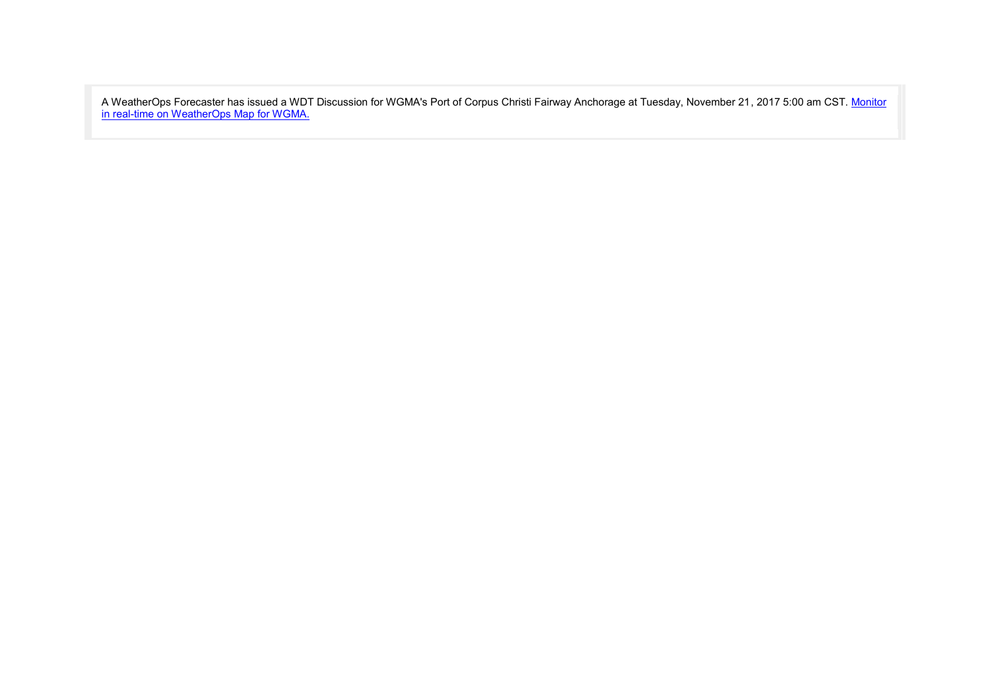A WeatherOps Forecaster has issued a WDT Discussion for WGMA's Port of Corpus Christi Fairway Anchorage at Tuesday, November 21, 2017 5:00 am CST. <u>Monitor</u> and in real-time on WeatherOps Map for WGMA.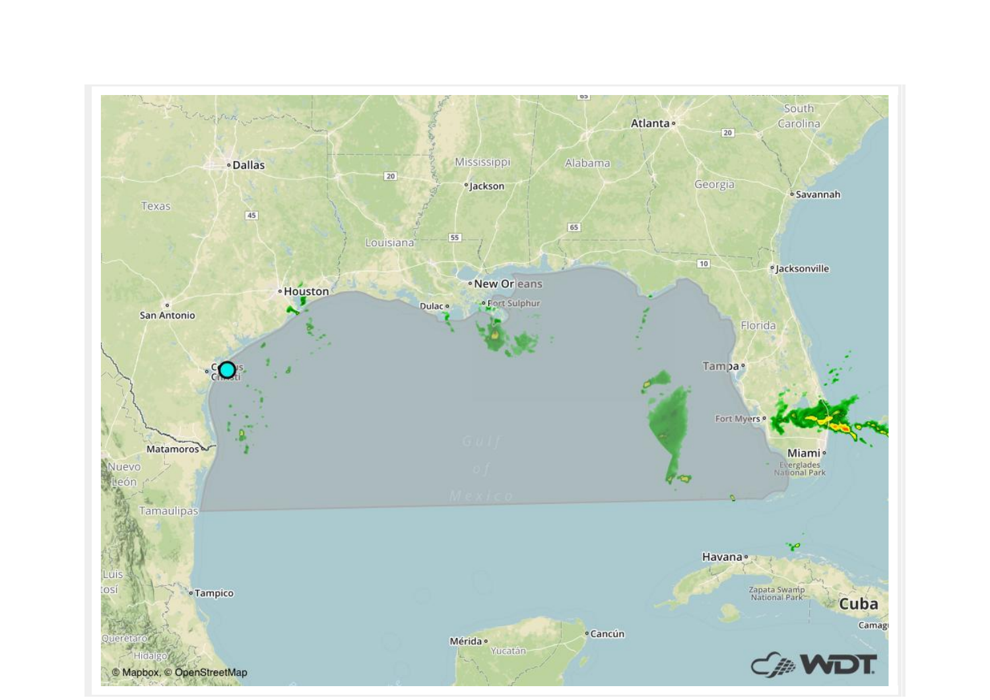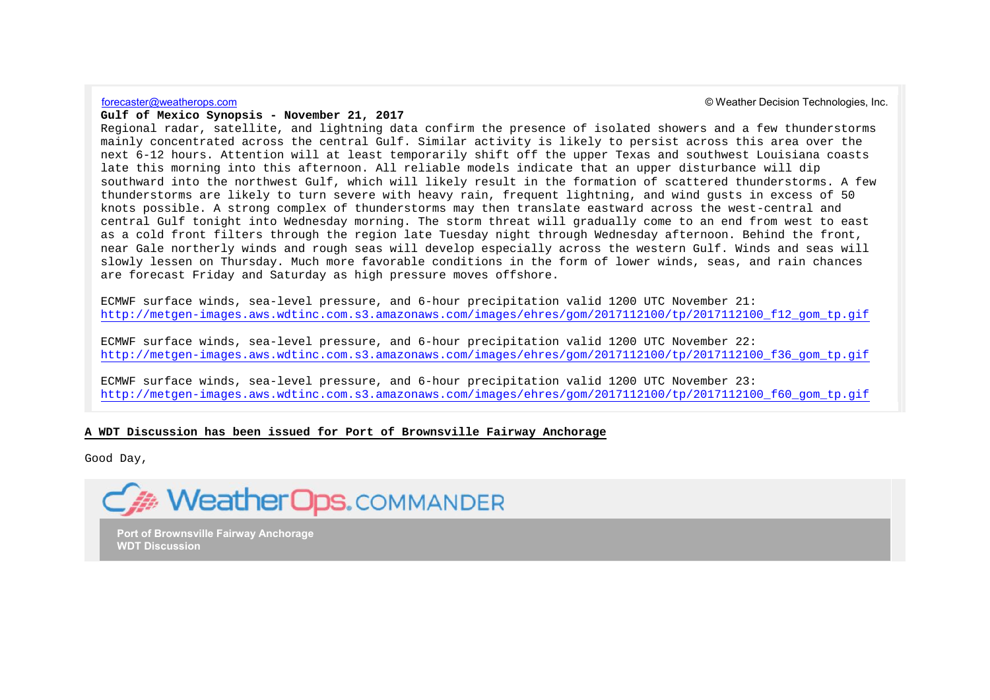### **Gulf of Mexico Synopsis - November 21, 2017**

Regional radar, satellite, and lightning data confirm the presence of isolated showers and a few thunderstorms mainly concentrated across the central Gulf. Similar activity is likely to persist across this area over the next 6-12 hours. Attention will at least temporarily shift off the upper Texas and southwest Louisiana coasts late this morning into this afternoon. All reliable models indicate that an upper disturbance will dip southward into the northwest Gulf, which will likely result in the formation of scattered thunderstorms. A few thunderstorms are likely to turn severe with heavy rain, frequent lightning, and wind gusts in excess of 50 knots possible. A strong complex of thunderstorms may then translate eastward across the west-central and central Gulf tonight into Wednesday morning. The storm threat will gradually come to an end from west to east as a cold front filters through the region late Tuesday night through Wednesday afternoon. Behind the front, near Gale northerly winds and rough seas will develop especially across the western Gulf. Winds and seas will slowly lessen on Thursday. Much more favorable conditions in the form of lower winds, seas, and rain chances are forecast Friday and Saturday as high pressure moves offshore.

ECMWF surface winds, sea-level pressure, and 6-hour precipitation valid 1200 UTC November 21: http://metgen-images.aws.wdtinc.com.s3.amazonaws.com/images/ehres/gom/2017112100/tp/2017112100\_f12\_gom\_tp.gif

ECMWF surface winds, sea-level pressure, and 6-hour precipitation valid 1200 UTC November 22: http://metgen-images.aws.wdtinc.com.s3.amazonaws.com/images/ehres/gom/2017112100/tp/2017112100\_f36\_gom\_tp.gif

ECMWF surface winds, sea-level pressure, and 6-hour precipitation valid 1200 UTC November 23: http://metgen-images.aws.wdtinc.com.s3.amazonaws.com/images/ehres/gom/2017112100/tp/2017112100\_f60\_gom\_tp.gif

### **A WDT Discussion has been issued for Port of Brownsville Fairway Anchorage**

Good Day,



**Port of Brownsville Fairway Anchorage WDT Discussion**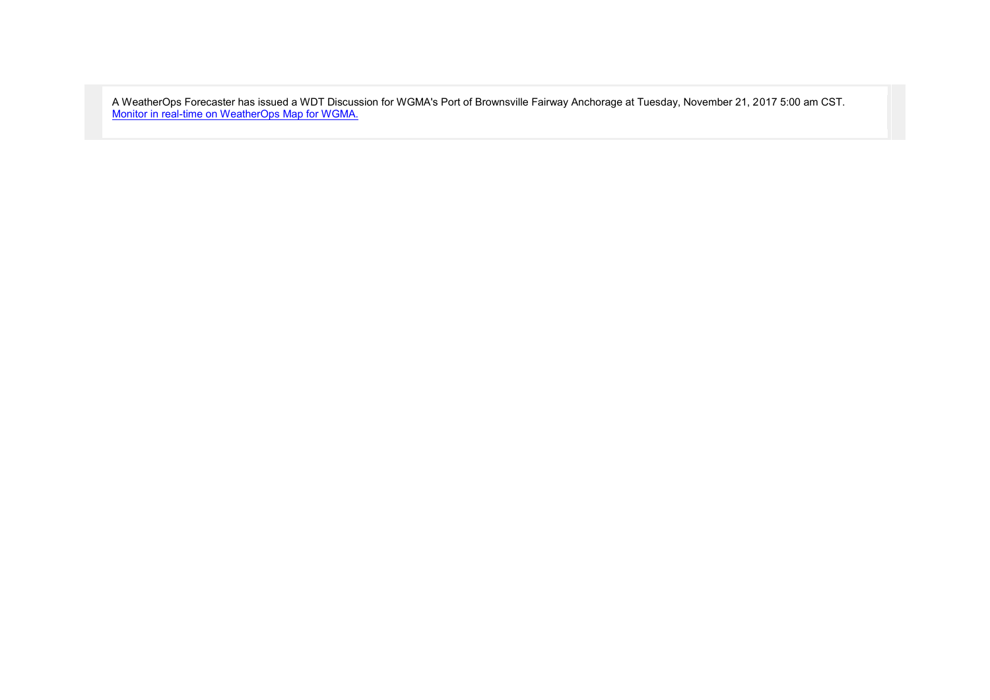A WeatherOps Forecaster has issued a WDT Discussion for WGMA's Port of Brownsville Fairway Anchorage at Tuesday, November 21, 2017 5:00 am CST. Monitor in real-time on WeatherOps Map for WGMA.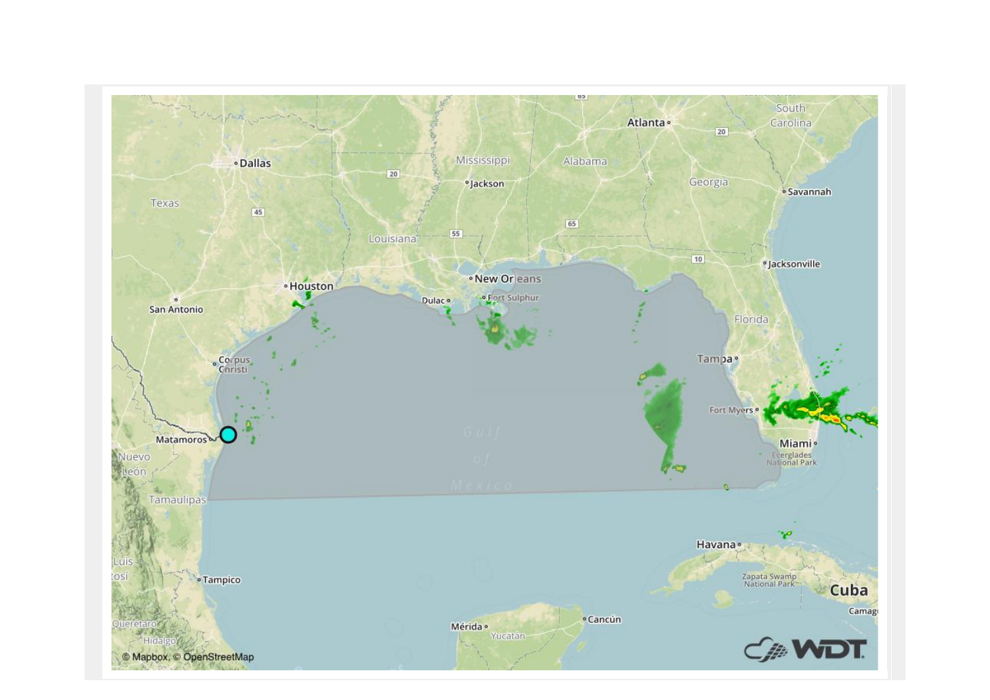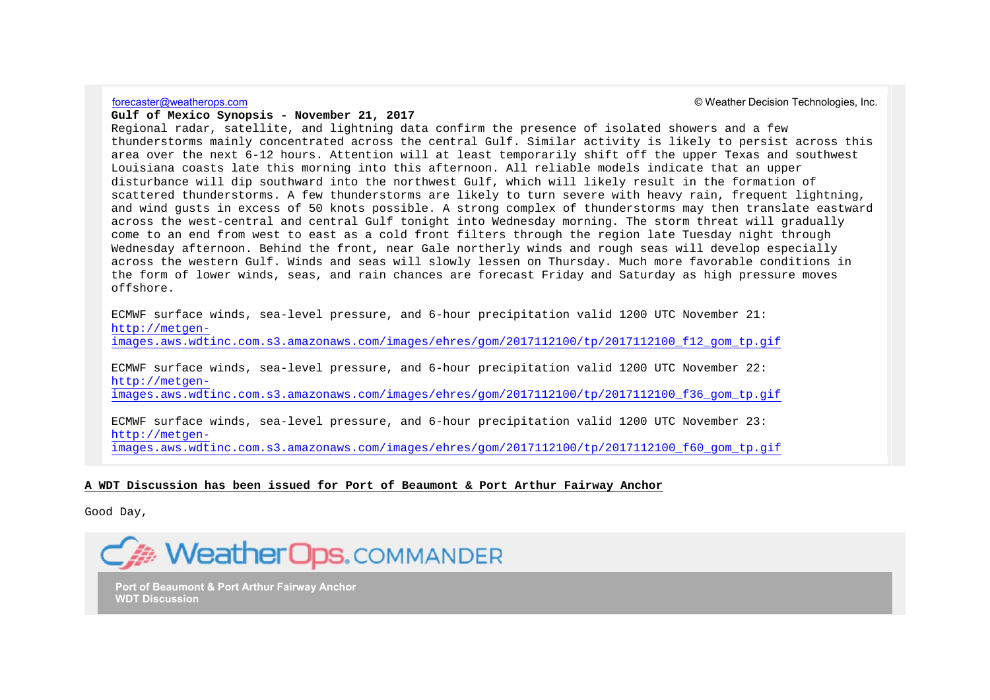### **Gulf of Mexico Synopsis - November 21, 2017**

Regional radar, satellite, and lightning data confirm the presence of isolated showers and a few thunderstorms mainly concentrated across the central Gulf. Similar activity is likely to persist across this area over the next 6-12 hours. Attention will at least temporarily shift off the upper Texas and southwest Louisiana coasts late this morning into this afternoon. All reliable models indicate that an upper disturbance will dip southward into the northwest Gulf, which will likely result in the formation of scattered thunderstorms. A few thunderstorms are likely to turn severe with heavy rain, frequent lightning, and wind gusts in excess of 50 knots possible. A strong complex of thunderstorms may then translate eastward across the west-central and central Gulf tonight into Wednesday morning. The storm threat will gradually come to an end from west to east as a cold front filters through the region late Tuesday night through Wednesday afternoon. Behind the front, near Gale northerly winds and rough seas will develop especially across the western Gulf. Winds and seas will slowly lessen on Thursday. Much more favorable conditions in the form of lower winds, seas, and rain chances are forecast Friday and Saturday as high pressure moves offshore.

ECMWF surface winds, sea-level pressure, and 6-hour precipitation valid 1200 UTC November 21: http://metgen-

images.aws.wdtinc.com.s3.amazonaws.com/images/ehres/gom/2017112100/tp/2017112100\_f12\_gom\_tp.gif

ECMWF surface winds, sea-level pressure, and 6-hour precipitation valid 1200 UTC November 22: http://metgen-

images.aws.wdtinc.com.s3.amazonaws.com/images/ehres/gom/2017112100/tp/2017112100\_f36\_gom\_tp.gif

ECMWF surface winds, sea-level pressure, and 6-hour precipitation valid 1200 UTC November 23: http://metgen-

images.aws.wdtinc.com.s3.amazonaws.com/images/ehres/gom/2017112100/tp/2017112100\_f60\_gom\_tp.gif

# **A WDT Discussion has been issued for Port of Beaumont & Port Arthur Fairway Anchor**

Good Day,



**Port of Beaumont & Port Arthur Fairway Anchor WDT Discussion**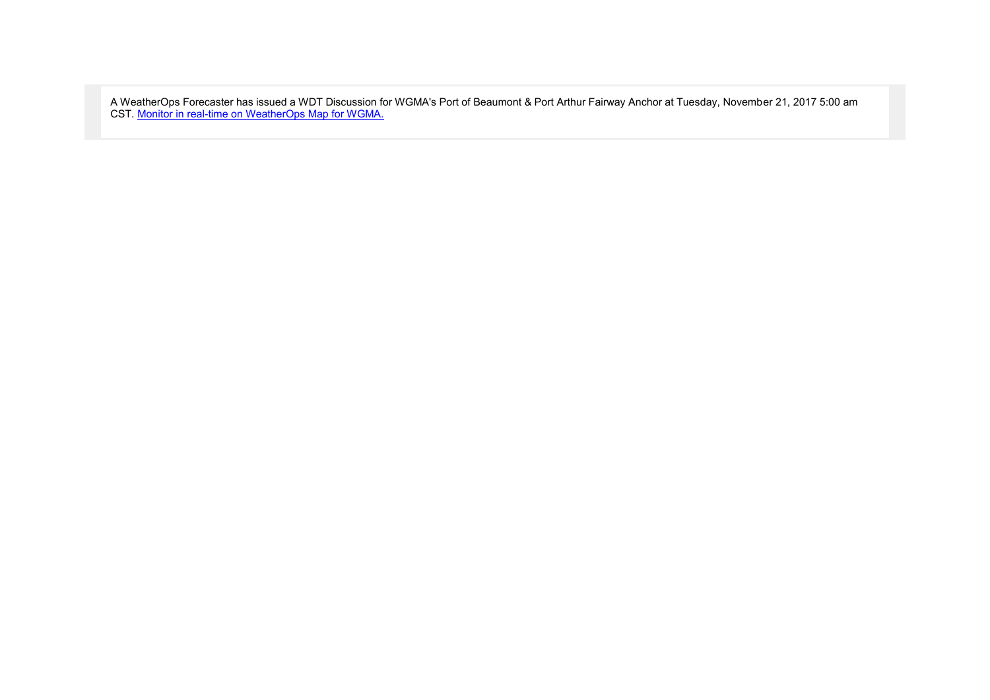A WeatherOps Forecaster has issued a WDT Discussion for WGMA's Port of Beaumont & Port Arthur Fairway Anchor at Tuesday, November 21, 2017 5:00 am CST. Monitor in real-time on WeatherOps Map for WGMA.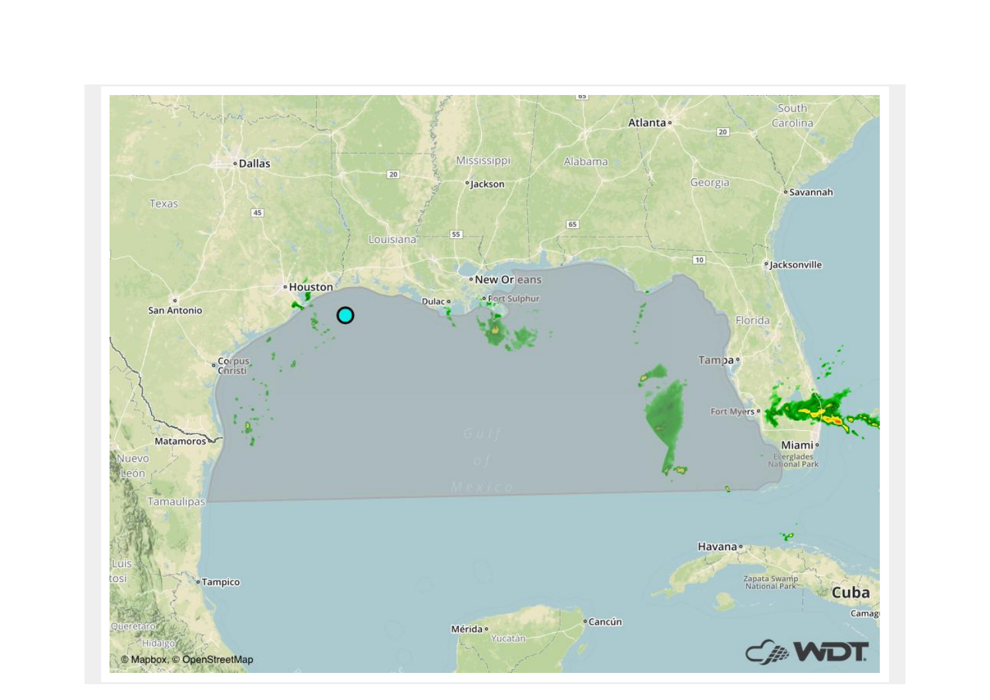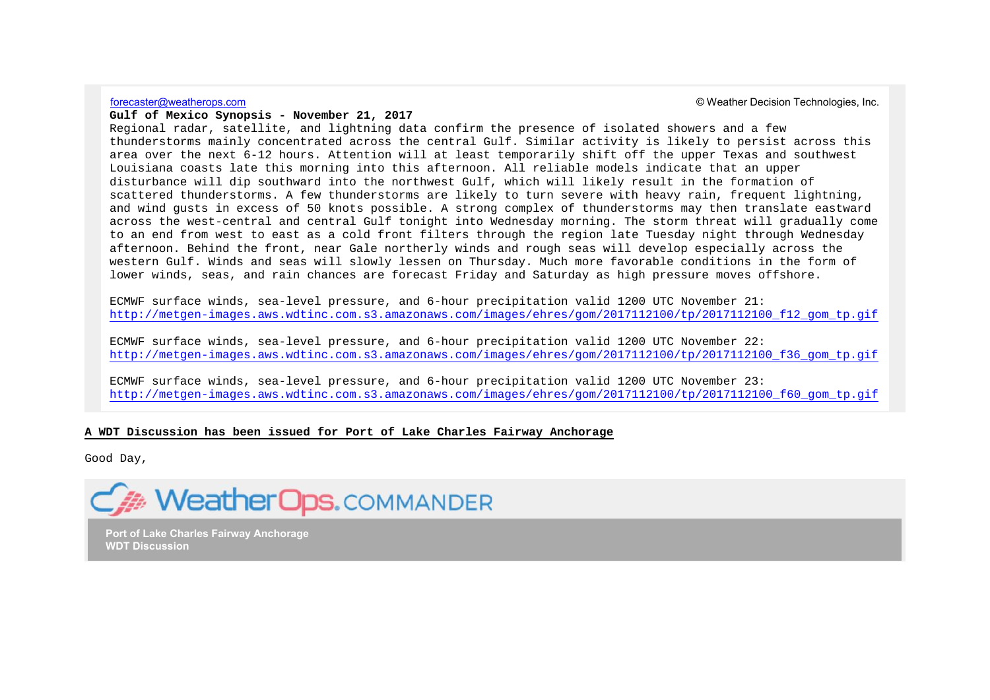### **Gulf of Mexico Synopsis - November 21, 2017**

Regional radar, satellite, and lightning data confirm the presence of isolated showers and a few thunderstorms mainly concentrated across the central Gulf. Similar activity is likely to persist across this area over the next 6-12 hours. Attention will at least temporarily shift off the upper Texas and southwest Louisiana coasts late this morning into this afternoon. All reliable models indicate that an upper disturbance will dip southward into the northwest Gulf, which will likely result in the formation of scattered thunderstorms. A few thunderstorms are likely to turn severe with heavy rain, frequent lightning, and wind gusts in excess of 50 knots possible. A strong complex of thunderstorms may then translate eastward across the west-central and central Gulf tonight into Wednesday morning. The storm threat will gradually come to an end from west to east as a cold front filters through the region late Tuesday night through Wednesday afternoon. Behind the front, near Gale northerly winds and rough seas will develop especially across the western Gulf. Winds and seas will slowly lessen on Thursday. Much more favorable conditions in the form of lower winds, seas, and rain chances are forecast Friday and Saturday as high pressure moves offshore.

ECMWF surface winds, sea-level pressure, and 6-hour precipitation valid 1200 UTC November 21: http://metgen-images.aws.wdtinc.com.s3.amazonaws.com/images/ehres/gom/2017112100/tp/2017112100\_f12\_gom\_tp.gif

ECMWF surface winds, sea-level pressure, and 6-hour precipitation valid 1200 UTC November 22: http://metgen-images.aws.wdtinc.com.s3.amazonaws.com/images/ehres/gom/2017112100/tp/2017112100\_f36\_gom\_tp.gif

ECMWF surface winds, sea-level pressure, and 6-hour precipitation valid 1200 UTC November 23: http://metgen-images.aws.wdtinc.com.s3.amazonaws.com/images/ehres/gom/2017112100/tp/2017112100\_f60\_gom\_tp.gif

### **A WDT Discussion has been issued for Port of Lake Charles Fairway Anchorage**

Good Day,



**Port of Lake Charles Fairway Anchorage WDT Discussion**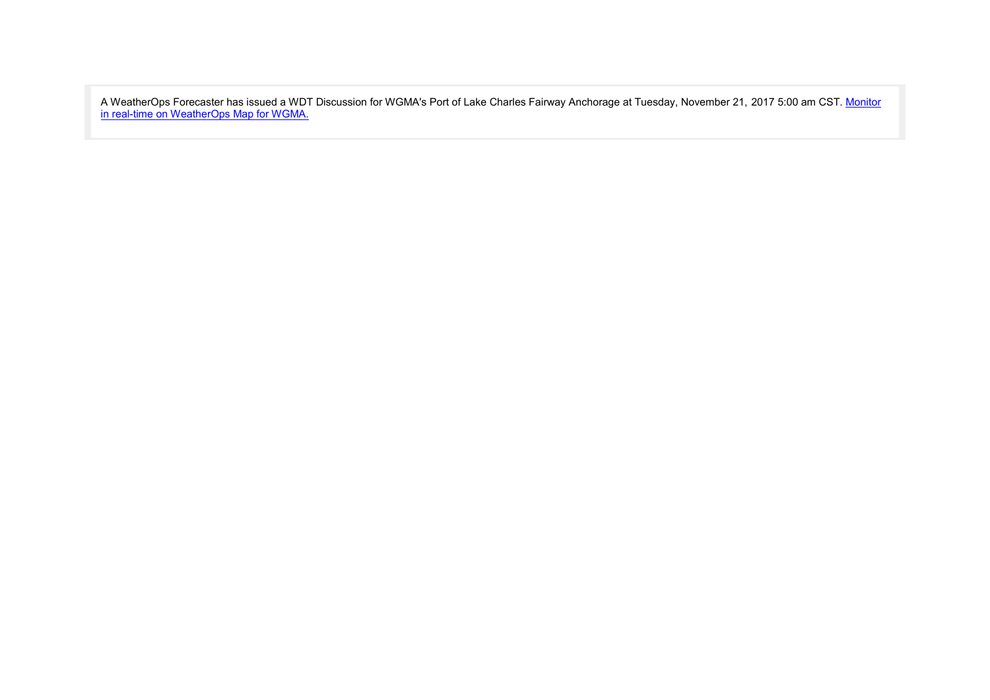A WeatherOps Forecaster has issued a WDT Discussion for WGMA's Port of Lake Charles Fairway Anchorage at Tuesday, November 21, 2017 5:00 am CST. <u>Monitor</u> and the Weather 2017 5:00 am CST. <u>Monitor</u> in real-time on WeatherOps Map for WGMA.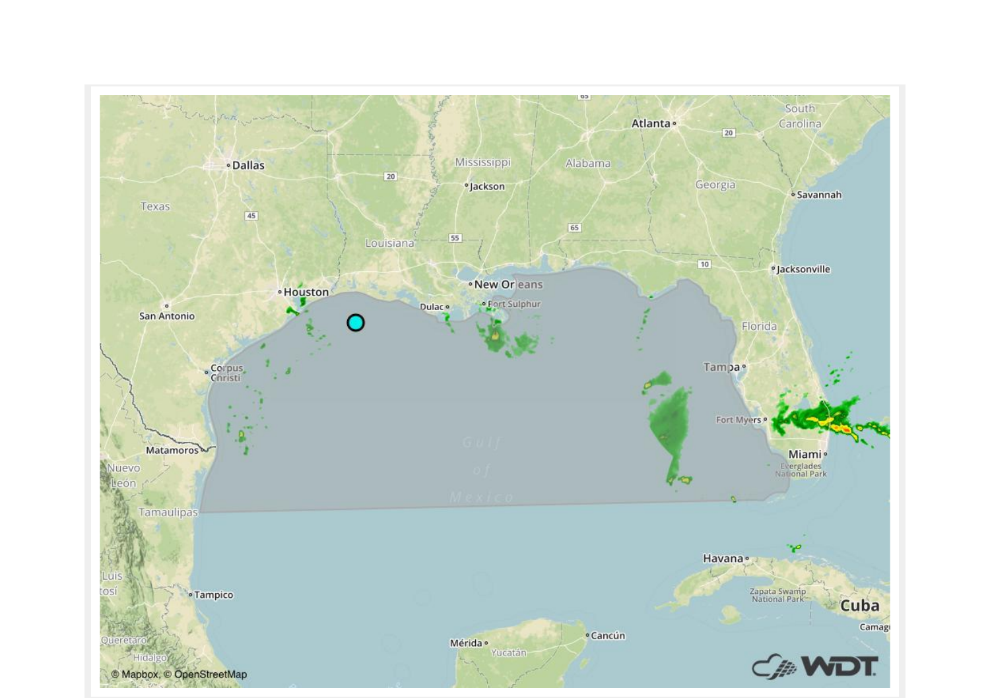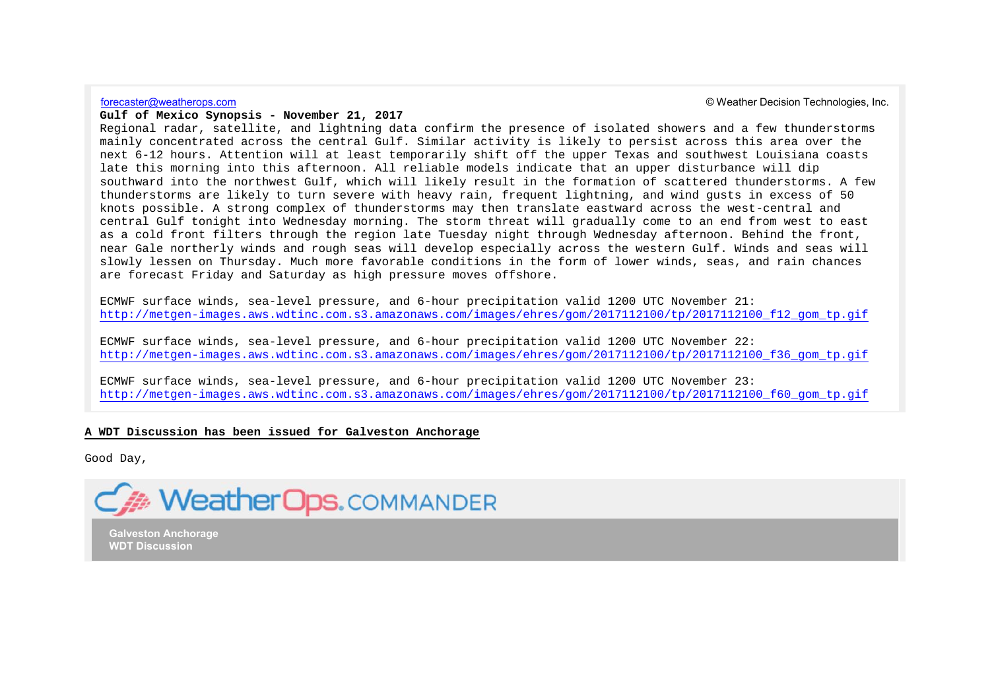### **Gulf of Mexico Synopsis - November 21, 2017**

Regional radar, satellite, and lightning data confirm the presence of isolated showers and a few thunderstorms mainly concentrated across the central Gulf. Similar activity is likely to persist across this area over the next 6-12 hours. Attention will at least temporarily shift off the upper Texas and southwest Louisiana coasts late this morning into this afternoon. All reliable models indicate that an upper disturbance will dip southward into the northwest Gulf, which will likely result in the formation of scattered thunderstorms. A few thunderstorms are likely to turn severe with heavy rain, frequent lightning, and wind gusts in excess of 50 knots possible. A strong complex of thunderstorms may then translate eastward across the west-central and central Gulf tonight into Wednesday morning. The storm threat will gradually come to an end from west to east as a cold front filters through the region late Tuesday night through Wednesday afternoon. Behind the front, near Gale northerly winds and rough seas will develop especially across the western Gulf. Winds and seas will slowly lessen on Thursday. Much more favorable conditions in the form of lower winds, seas, and rain chances are forecast Friday and Saturday as high pressure moves offshore.

ECMWF surface winds, sea-level pressure, and 6-hour precipitation valid 1200 UTC November 21: http://metgen-images.aws.wdtinc.com.s3.amazonaws.com/images/ehres/gom/2017112100/tp/2017112100\_f12\_gom\_tp.gif

ECMWF surface winds, sea-level pressure, and 6-hour precipitation valid 1200 UTC November 22: http://metgen-images.aws.wdtinc.com.s3.amazonaws.com/images/ehres/gom/2017112100/tp/2017112100\_f36\_gom\_tp.gif

ECMWF surface winds, sea-level pressure, and 6-hour precipitation valid 1200 UTC November 23: http://metgen-images.aws.wdtinc.com.s3.amazonaws.com/images/ehres/gom/2017112100/tp/2017112100\_f60\_gom\_tp.gif

# **A WDT Discussion has been issued for Galveston Anchorage**

Good Day,



**Galveston Anchorage WDT Discussion**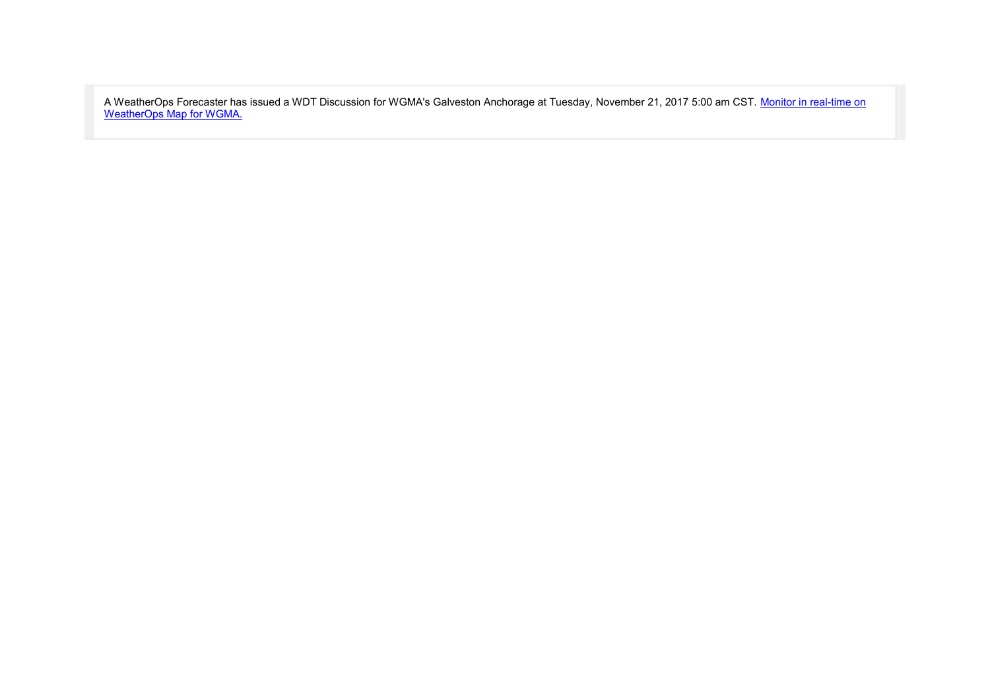A WeatherOps Forecaster has issued a WDT Discussion for WGMA's Galveston Anchorage at Tuesday, November 21, 2017 5:00 am CST. <u>Monitor in real-time on</u> WeatherOps Map for WGMA.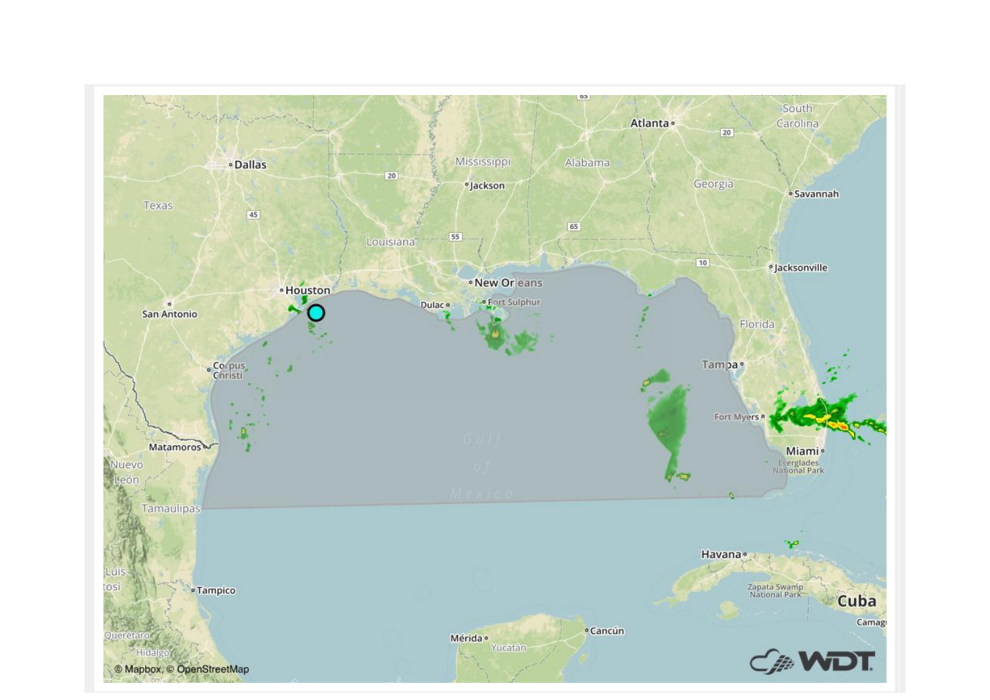